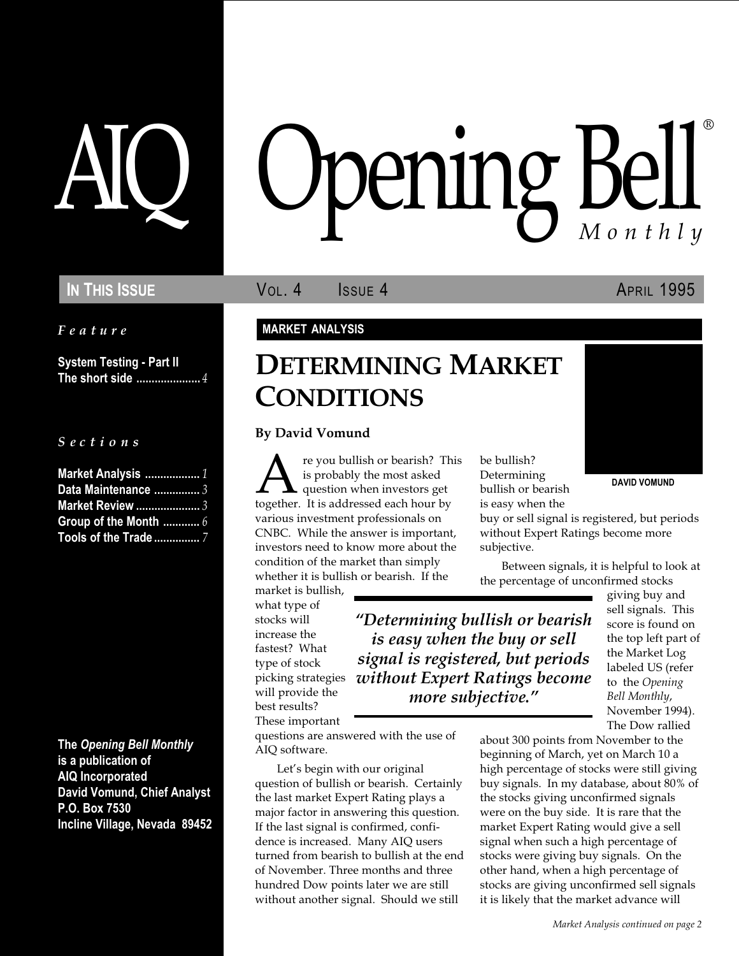Feature

System Testing - Part II The short side ........................4

S e c t i o n s

| Market Analysis  1      |  |
|-------------------------|--|
| Data Maintenance  3     |  |
| <b>Market Review </b> 3 |  |
|                         |  |
| Tools of the Trade 7    |  |

The Opening Bell Monthly is a publication of AIQ Incorporated David Vomund, Chief Analyst P.O. Box 7530 Incline Village, Nevada 89452

# pening Bel Monthly ®

IN THIS ISSUE **VOL. 4** ISSUE 4 APRIL 1995

### MARKET ANALYSIS

## DETERMINING MARKET **CONDITIONS**

#### By David Vomund

This be bullish?<br>
is probably the most asked<br>
together. It is addressed each hour by<br>
is easy when the<br>
together. It is addressed each hour by<br>
is easy when the re you bullish or bearish? This is probably the most asked question when investors get together. It is addressed each hour by various investment professionals on CNBC. While the answer is important, investors need to know more about the condition of the market than simply whether it is bullish or bearish. If the

Let's begin with our original question of bullish or bearish. Certainly the last market Expert Rating plays a major factor in answering this question. If the last signal is confirmed, confidence is increased. Many AIQ users turned from bearish to bullish at the end of November. Three months and three hundred Dow points later we are still without another signal. Should we still

market is bullish, what type of stocks will increase the fastest? What type of stock picking strategies will provide the best results? These important questions are answered with the use of

AIQ software.

be bullish? Determining bullish or bearish is easy when the

buy or sell signal is registered, but periods without Expert Ratings become more subjective.

Between signals, it is helpful to look at the percentage of unconfirmed stocks

Determining bullish or bearish is easy when the buy or sell signal is registered, but periods without Expert Ratings become more subjective."

giving buy and sell signals. This score is found on the top left part of the Market Log labeled US (refer to the Opening Bell Monthly, November 1994). The Dow rallied

about 300 points from November to the beginning of March, yet on March 10 a high percentage of stocks were still giving buy signals. In my database, about 80% of the stocks giving unconfirmed signals were on the buy side. It is rare that the market Expert Rating would give a sell signal when such a high percentage of stocks were giving buy signals. On the other hand, when a high percentage of stocks are giving unconfirmed sell signals it is likely that the market advance will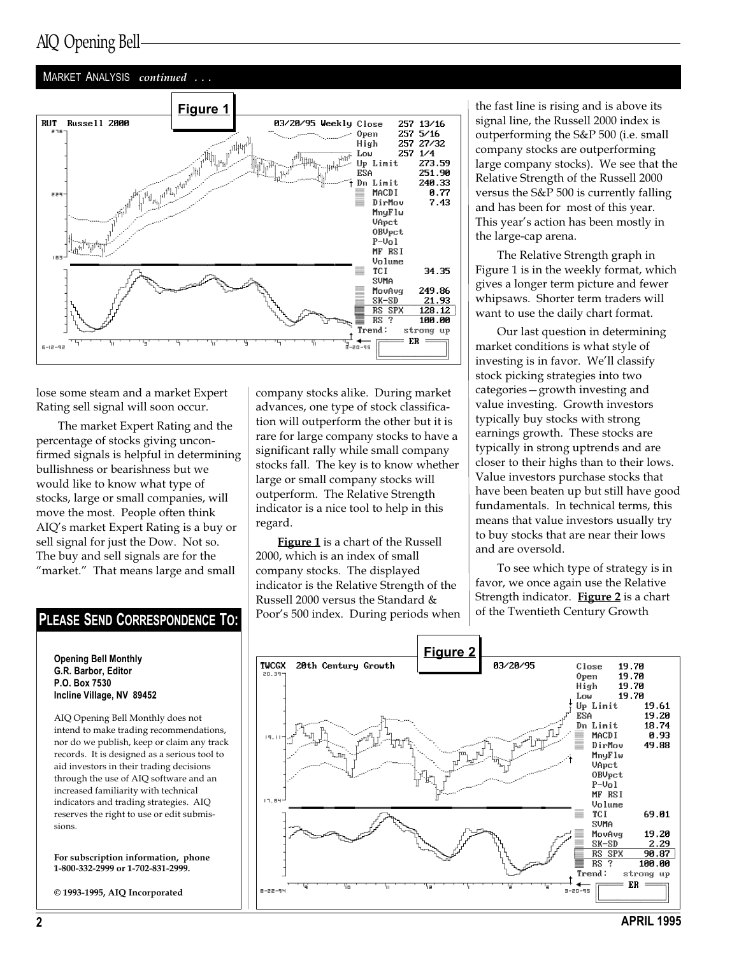### AIQ Opening Bell

#### MARKET ANALYSIS continued ...



lose some steam and a market Expert Rating sell signal will soon occur.

The market Expert Rating and the percentage of stocks giving unconfirmed signals is helpful in determining bullishness or bearishness but we would like to know what type of stocks, large or small companies, will move the most. People often think AIQ's market Expert Rating is a buy or sell signal for just the Dow. Not so. The buy and sell signals are for the "market." That means large and small

Opening Bell Monthly G.R. Barbor, Editor P.O. Box 7530 Incline Village, NV 89452

AIQ Opening Bell Monthly does not intend to make trading recommendations, nor do we publish, keep or claim any track records. It is designed as a serious tool to aid investors in their trading decisions through the use of AIQ software and an increased familiarity with technical indicators and trading strategies. AIQ reserves the right to use or edit submissions.

For subscription information, phone 1-800-332-2999 or 1-702-831-2999.

© 1993-1995, AIQ Incorporated

company stocks alike. During market advances, one type of stock classification will outperform the other but it is rare for large company stocks to have a significant rally while small company stocks fall. The key is to know whether large or small company stocks will outperform. The Relative Strength indicator is a nice tool to help in this regard.

**Figure 1** is a chart of the Russell 2000, which is an index of small company stocks. The displayed indicator is the Relative Strength of the Russell 2000 versus the Standard & Poor's 500 index. During periods when **PLEASE SEND CORRESPONDENCE TO:**  $\cos^2 500$  index. During periods when  $\cos^2 60$  find Twentieth Century Growth

the fast line is rising and is above its signal line, the Russell 2000 index is outperforming the S&P 500 (i.e. small company stocks are outperforming large company stocks). We see that the Relative Strength of the Russell 2000 versus the S&P 500 is currently falling and has been for most of this year. This year's action has been mostly in the large-cap arena.

The Relative Strength graph in Figure 1 is in the weekly format, which gives a longer term picture and fewer whipsaws. Shorter term traders will want to use the daily chart format.

Our last question in determining market conditions is what style of investing is in favor. We'll classify stock picking strategies into two categories - growth investing and value investing. Growth investors typically buy stocks with strong earnings growth. These stocks are typically in strong uptrends and are closer to their highs than to their lows. Value investors purchase stocks that have been beaten up but still have good fundamentals. In technical terms, this means that value investors usually try to buy stocks that are near their lows and are oversold.

To see which type of strategy is in favor, we once again use the Relative Strength indicator. Figure 2 is a chart

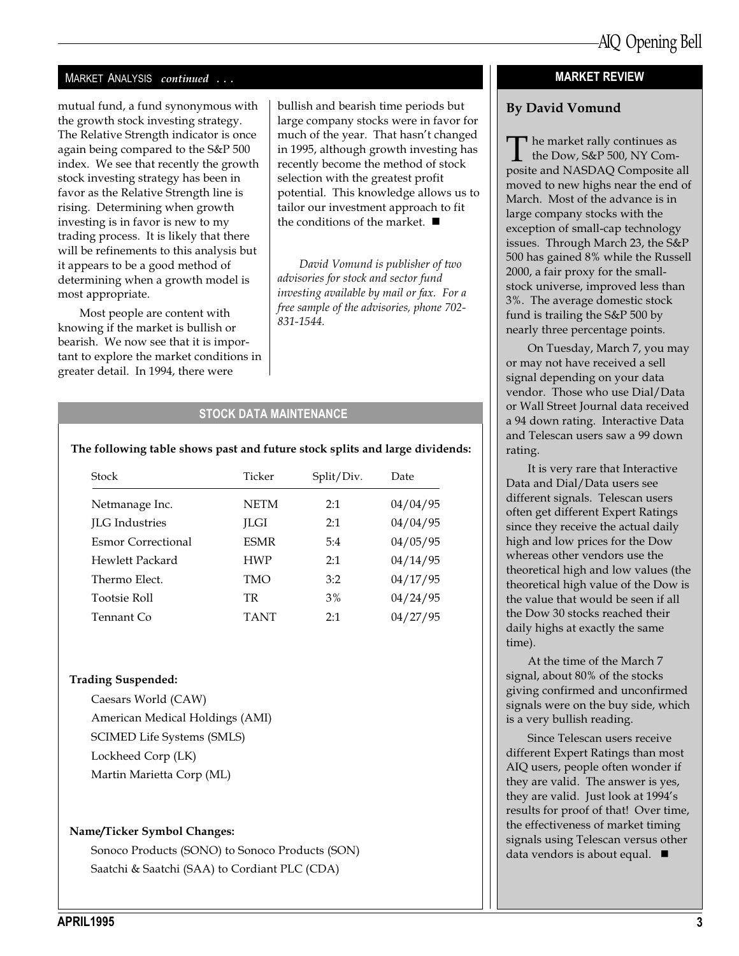#### MARKET ANALYSIS continued ...

mutual fund, a fund synonymous with the growth stock investing strategy. The Relative Strength indicator is once again being compared to the S&P 500 index. We see that recently the growth stock investing strategy has been in favor as the Relative Strength line is rising. Determining when growth investing is in favor is new to my trading process. It is likely that there will be refinements to this analysis but it appears to be a good method of determining when a growth model is most appropriate.

Most people are content with knowing if the market is bullish or bearish. We now see that it is important to explore the market conditions in greater detail. In 1994, there were

bullish and bearish time periods but large company stocks were in favor for much of the year. That hasn't changed in 1995, although growth investing has recently become the method of stock selection with the greatest profit potential. This knowledge allows us to tailor our investment approach to fit the conditions of the market.  $\blacksquare$ 

David Vomund is publisher of two advisories for stock and sector fund investing available by mail or fax. For a free sample of the advisories, phone 702- 831-1544.

#### STOCK DATA MAINTENANCE

#### The following table shows past and future stock splits and large dividends:

| Stock                 | Ticker      | Split/Div. | Date     |
|-----------------------|-------------|------------|----------|
| Netmanage Inc.        | <b>NETM</b> | 2:1        | 04/04/95 |
| <b>ILG</b> Industries | <b>ILGI</b> | 2:1        | 04/04/95 |
| Esmor Correctional    | <b>ESMR</b> | 5:4        | 04/05/95 |
| Hewlett Packard       | <b>HWP</b>  | 2:1        | 04/14/95 |
| Thermo Elect.         | TMO         | 3:2        | 04/17/95 |
| <b>Tootsie Roll</b>   | TR.         | 3%         | 04/24/95 |
| Tennant Co            | <b>TANT</b> | 2:1        | 04/27/95 |

#### Trading Suspended:

Caesars World (CAW) American Medical Holdings (AMI) SCIMED Life Systems (SMLS) Lockheed Corp (LK) Martin Marietta Corp (ML)

#### Name/Ticker Symbol Changes:

Sonoco Products (SONO) to Sonoco Products (SON) Saatchi & Saatchi (SAA) to Cordiant PLC (CDA)

#### MARKET REVIEW

#### By David Vomund

The market rally continues as<br>the Dow, S&P 500, NY Com-<br>posite and NASDAO Composite a posite and NASDAQ Composite all moved to new highs near the end of March. Most of the advance is in large company stocks with the exception of small-cap technology issues. Through March 23, the S&P 500 has gained 8% while the Russell 2000, a fair proxy for the smallstock universe, improved less than 3%. The average domestic stock fund is trailing the S&P 500 by nearly three percentage points.

On Tuesday, March 7, you may or may not have received a sell signal depending on your data vendor. Those who use Dial/Data or Wall Street Journal data received a 94 down rating. Interactive Data and Telescan users saw a 99 down rating.

It is very rare that Interactive Data and Dial/Data users see different signals. Telescan users often get different Expert Ratings since they receive the actual daily high and low prices for the Dow whereas other vendors use the theoretical high and low values (the theoretical high value of the Dow is the value that would be seen if all the Dow 30 stocks reached their daily highs at exactly the same time).

At the time of the March 7 signal, about 80% of the stocks giving confirmed and unconfirmed signals were on the buy side, which is a very bullish reading.

Since Telescan users receive different Expert Ratings than most AIQ users, people often wonder if they are valid. The answer is yes, they are valid. Just look at 1994's results for proof of that! Over time, the effectiveness of market timing signals using Telescan versus other data vendors is about equal.  $\blacksquare$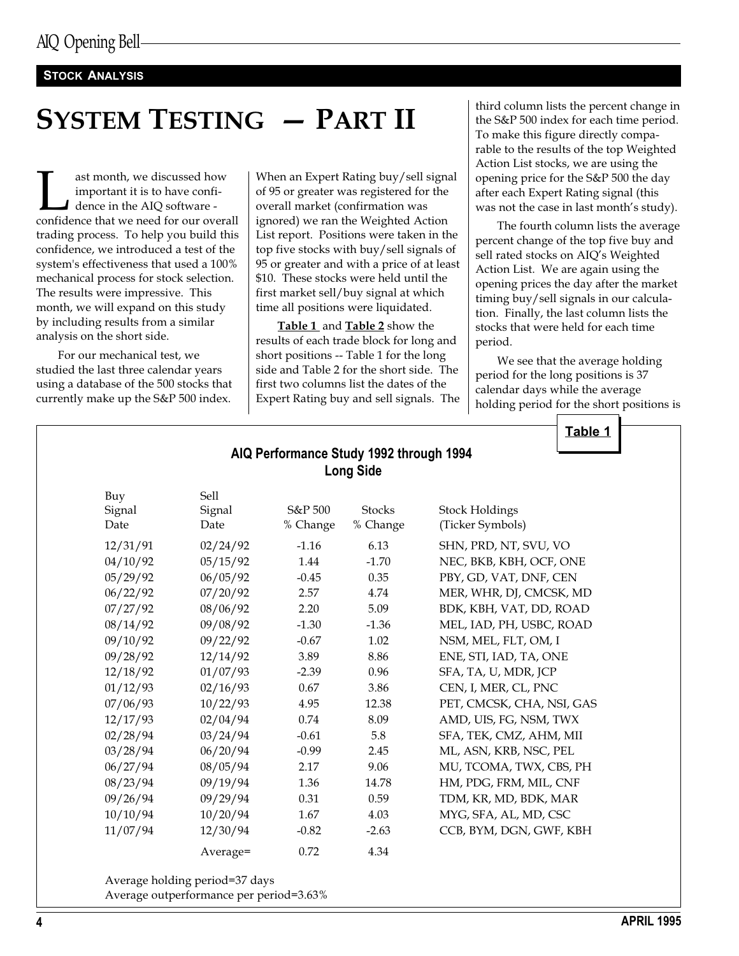#### STOCK ANALYSIS

## SYSTEM TESTING - PART II

ast month, we discussed how<br>important it is to have confi-<br>dence in the AIQ software -<br>confidence that we need for our overall important it is to have confidence in the AIQ software trading process. To help you build this confidence, we introduced a test of the system's effectiveness that used a 100% mechanical process for stock selection. The results were impressive. This month, we will expand on this study by including results from a similar analysis on the short side.

For our mechanical test, we studied the last three calendar years using a database of the 500 stocks that currently make up the S&P 500 index.

When an Expert Rating buy/sell signal of 95 or greater was registered for the overall market (confirmation was ignored) we ran the Weighted Action List report. Positions were taken in the top five stocks with buy/sell signals of 95 or greater and with a price of at least \$10. These stocks were held until the first market sell/buy signal at which time all positions were liquidated.

Table 1 and Table 2 show the results of each trade block for long and short positions -- Table 1 for the long side and Table 2 for the short side. The first two columns list the dates of the Expert Rating buy and sell signals. The third column lists the percent change in the S&P 500 index for each time period. To make this figure directly comparable to the results of the top Weighted Action List stocks, we are using the opening price for the S&P 500 the day after each Expert Rating signal (this was not the case in last month's study).

The fourth column lists the average percent change of the top five buy and sell rated stocks on AIQ's Weighted Action List. We are again using the opening prices the day after the market timing buy/sell signals in our calculation. Finally, the last column lists the stocks that were held for each time period.

We see that the average holding period for the long positions is 37 calendar days while the average holding period for the short positions is

| AIQ Performance Study 1992 through 1994<br><b>Long Side</b> |          |          |               |                           |  |  |  |  |
|-------------------------------------------------------------|----------|----------|---------------|---------------------------|--|--|--|--|
| Buy                                                         | Sell     |          |               |                           |  |  |  |  |
| Signal                                                      | Signal   | S&P 500  | <b>Stocks</b> | <b>Stock Holdings</b>     |  |  |  |  |
| Date                                                        | Date     | % Change | % Change      | (Ticker Symbols)          |  |  |  |  |
| 12/31/91                                                    | 02/24/92 | $-1.16$  | 6.13          | SHN, PRD, NT, SVU, VO     |  |  |  |  |
| 04/10/92                                                    | 05/15/92 | 1.44     | $-1.70$       | NEC, BKB, KBH, OCF, ONE   |  |  |  |  |
| 05/29/92                                                    | 06/05/92 | $-0.45$  | 0.35          | PBY, GD, VAT, DNF, CEN    |  |  |  |  |
| 06/22/92                                                    | 07/20/92 | 2.57     | 4.74          | MER, WHR, DJ, CMCSK, MD   |  |  |  |  |
| 07/27/92                                                    | 08/06/92 | 2.20     | 5.09          | BDK, KBH, VAT, DD, ROAD   |  |  |  |  |
| 08/14/92                                                    | 09/08/92 | $-1.30$  | $-1.36$       | MEL, IAD, PH, USBC, ROAD  |  |  |  |  |
| 09/10/92                                                    | 09/22/92 | $-0.67$  | 1.02          | NSM, MEL, FLT, OM, I      |  |  |  |  |
| 09/28/92                                                    | 12/14/92 | 3.89     | 8.86          | ENE, STI, IAD, TA, ONE    |  |  |  |  |
| 12/18/92                                                    | 01/07/93 | $-2.39$  | 0.96          | SFA, TA, U, MDR, JCP      |  |  |  |  |
| 01/12/93                                                    | 02/16/93 | 0.67     | 3.86          | CEN, I, MER, CL, PNC      |  |  |  |  |
| 07/06/93                                                    | 10/22/93 | 4.95     | 12.38         | PET, CMCSK, CHA, NSI, GAS |  |  |  |  |
| 12/17/93                                                    | 02/04/94 | 0.74     | 8.09          | AMD, UIS, FG, NSM, TWX    |  |  |  |  |
| 02/28/94                                                    | 03/24/94 | $-0.61$  | 5.8           | SFA, TEK, CMZ, AHM, MII   |  |  |  |  |
| 03/28/94                                                    | 06/20/94 | $-0.99$  | 2.45          | ML, ASN, KRB, NSC, PEL    |  |  |  |  |
| 06/27/94                                                    | 08/05/94 | 2.17     | 9.06          | MU, TCOMA, TWX, CBS, PH   |  |  |  |  |
| 08/23/94                                                    | 09/19/94 | 1.36     | 14.78         | HM, PDG, FRM, MIL, CNF    |  |  |  |  |
| 09/26/94                                                    | 09/29/94 | 0.31     | 0.59          | TDM, KR, MD, BDK, MAR     |  |  |  |  |
| 10/10/94                                                    | 10/20/94 | 1.67     | 4.03          | MYG, SFA, AL, MD, CSC     |  |  |  |  |
| 11/07/94                                                    | 12/30/94 | $-0.82$  | $-2.63$       | CCB, BYM, DGN, GWF, KBH   |  |  |  |  |
|                                                             | Average= | 0.72     | 4.34          |                           |  |  |  |  |

Average holding period=37 days Average outperformance per period=3.63%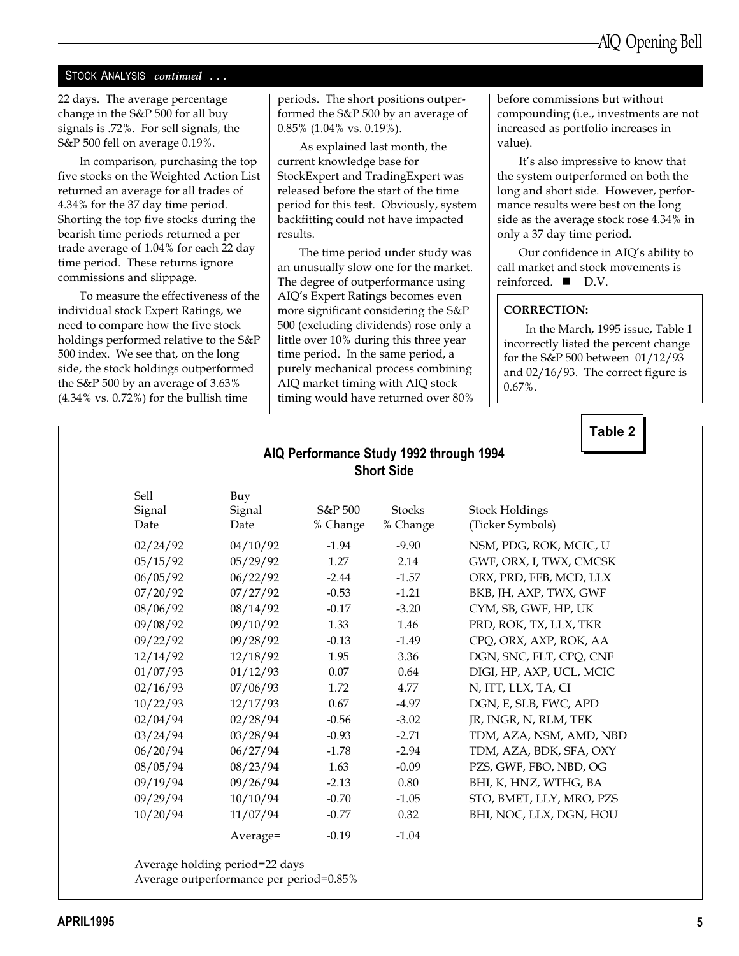#### STOCK ANALYSIS continued ...

22 days. The average percentage change in the S&P 500 for all buy signals is .72%. For sell signals, the S&P 500 fell on average 0.19%.

In comparison, purchasing the top five stocks on the Weighted Action List returned an average for all trades of 4.34% for the 37 day time period. Shorting the top five stocks during the bearish time periods returned a per trade average of 1.04% for each 22 day time period. These returns ignore commissions and slippage.

To measure the effectiveness of the individual stock Expert Ratings, we need to compare how the five stock holdings performed relative to the S&P 500 index. We see that, on the long side, the stock holdings outperformed the S&P 500 by an average of 3.63% (4.34% vs. 0.72%) for the bullish time

periods. The short positions outperformed the S&P 500 by an average of 0.85% (1.04% vs. 0.19%).

As explained last month, the current knowledge base for StockExpert and TradingExpert was released before the start of the time period for this test. Obviously, system backfitting could not have impacted results.

The time period under study was an unusually slow one for the market. The degree of outperformance using AIQ's Expert Ratings becomes even more significant considering the S&P 500 (excluding dividends) rose only a little over 10% during this three year time period. In the same period, a purely mechanical process combining AIQ market timing with AIQ stock timing would have returned over 80% before commissions but without compounding (i.e., investments are not increased as portfolio increases in value).

It's also impressive to know that the system outperformed on both the long and short side. However, performance results were best on the long side as the average stock rose 4.34% in only a 37 day time period.

Our confidence in AIQ's ability to call market and stock movements is reinforced.  $\blacksquare$  D.V.

#### CORRECTION:

In the March, 1995 issue, Table 1 incorrectly listed the percent change for the S&P 500 between 01/12/93 and 02/16/93. The correct figure is 0.67%.

Table 2

|                        |                       |                     | AIQ Performance Study 1992 through 1994<br><b>Short Side</b> |                                           |
|------------------------|-----------------------|---------------------|--------------------------------------------------------------|-------------------------------------------|
| Sell<br>Signal<br>Date | Buy<br>Signal<br>Date | S&P 500<br>% Change | <b>Stocks</b><br>% Change                                    | <b>Stock Holdings</b><br>(Ticker Symbols) |
| 02/24/92               | 04/10/92              | $-1.94$             | $-9.90$                                                      | NSM, PDG, ROK, MCIC, U                    |
| 05/15/92               | 05/29/92              | 1.27                | 2.14                                                         | GWF, ORX, I, TWX, CMCSK                   |
| 06/05/92               | 06/22/92              | $-2.44$             | $-1.57$                                                      | ORX, PRD, FFB, MCD, LLX                   |
| 07/20/92               | 07/27/92              | $-0.53$             | $-1.21$                                                      | BKB, JH, AXP, TWX, GWF                    |
| 08/06/92               | 08/14/92              | $-0.17$             | $-3.20$                                                      | CYM, SB, GWF, HP, UK                      |
| 09/08/92               | 09/10/92              | 1.33                | 1.46                                                         | PRD, ROK, TX, LLX, TKR                    |
| 09/22/92               | 09/28/92              | $-0.13$             | $-1.49$                                                      | CPQ, ORX, AXP, ROK, AA                    |
| 12/14/92               | 12/18/92              | 1.95                | 3.36                                                         | DGN, SNC, FLT, CPQ, CNF                   |
| 01/07/93               | 01/12/93              | 0.07                | 0.64                                                         | DIGI, HP, AXP, UCL, MCIC                  |
| 02/16/93               | 07/06/93              | 1.72                | 4.77                                                         | N, ITT, LLX, TA, CI                       |
| 10/22/93               | 12/17/93              | 0.67                | $-4.97$                                                      | DGN, E, SLB, FWC, APD                     |
| 02/04/94               | 02/28/94              | $-0.56$             | $-3.02$                                                      | JR, INGR, N, RLM, TEK                     |
| 03/24/94               | 03/28/94              | $-0.93$             | $-2.71$                                                      | TDM, AZA, NSM, AMD, NBD                   |
| 06/20/94               | 06/27/94              | $-1.78$             | $-2.94$                                                      | TDM, AZA, BDK, SFA, OXY                   |
| 08/05/94               | 08/23/94              | 1.63                | $-0.09$                                                      | PZS, GWF, FBO, NBD, OG                    |
| 09/19/94               | 09/26/94              | $-2.13$             | 0.80                                                         | BHI, K, HNZ, WTHG, BA                     |
| 09/29/94               | 10/10/94              | $-0.70$             | $-1.05$                                                      | STO, BMET, LLY, MRO, PZS                  |
| 10/20/94               | 11/07/94              | $-0.77$             | 0.32                                                         | BHI, NOC, LLX, DGN, HOU                   |
|                        | Average=              | $-0.19$             | $-1.04$                                                      |                                           |

Average holding period=22 days

Average outperformance per period=0.85%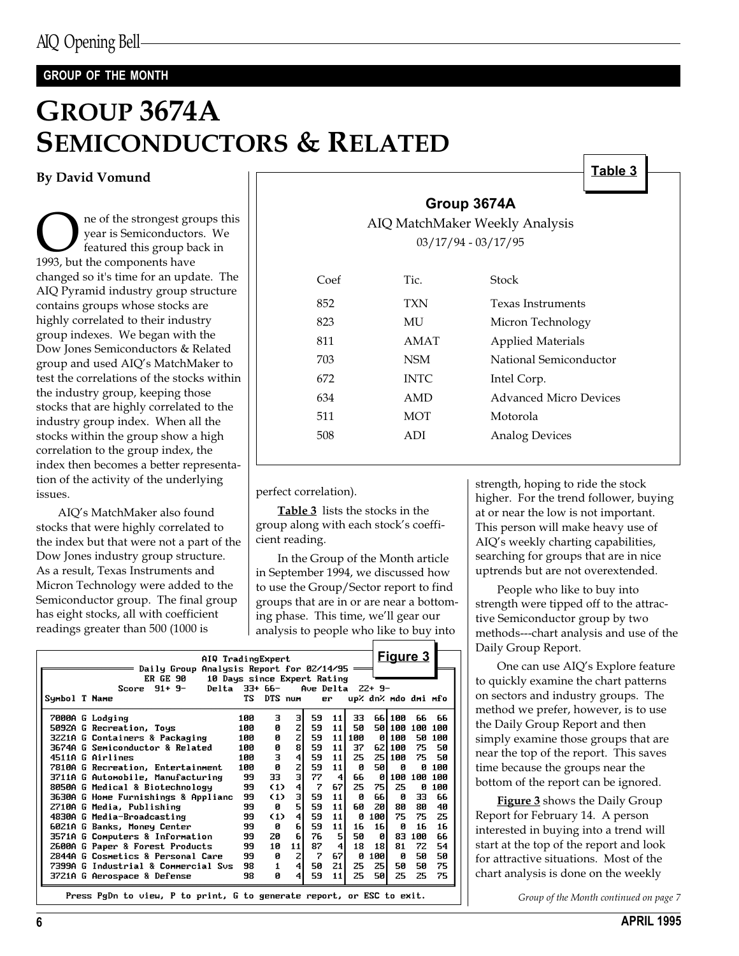### GROUP OF THE MONTH

## GROUP 3674A SEMICONDUCTORS & RELATED

By David Vomund

**O** ne of the strongest groups this<br>year is Semiconductors. We<br>1993, but the components have year is Semiconductors. We featured this group back in 1993, but the components have changed so it's time for an update. The AIQ Pyramid industry group structure contains groups whose stocks are highly correlated to their industry group indexes. We began with the Dow Jones Semiconductors & Related group and used AIQ's MatchMaker to test the correlations of the stocks within the industry group, keeping those stocks that are highly correlated to the industry group index. When all the stocks within the group show a high correlation to the group index, the index then becomes a better representation of the activity of the underlying issues.

AIQ's MatchMaker also found stocks that were highly correlated to the index but that were not a part of the Dow Jones industry group structure. As a result, Texas Instruments and Micron Technology were added to the Semiconductor group. The final group has eight stocks, all with coefficient readings greater than 500 (1000 is

|  | Group 3674A |
|--|-------------|
|  |             |

AIQ MatchMaker Weekly Analysis 03/17/94 - 03/17/95

| $C$ oef | Tic.        | Stock                    |
|---------|-------------|--------------------------|
| 852     | <b>TXN</b>  | <b>Texas Instruments</b> |
| 823     | МU          | Micron Technology        |
| 811     | AMAT        | <b>Applied Materials</b> |
| 703     | <b>NSM</b>  | National Semiconductor   |
| 672     | <b>INTC</b> | Intel Corp.              |
| 634     | AMD         | Advanced Micro Devices   |
| 511     | <b>MOT</b>  | Motorola                 |
| 508     | ADI         | <b>Analog Devices</b>    |
|         |             |                          |

perfect correlation).

Table 3 lists the stocks in the group along with each stock's coefficient reading.

In the Group of the Month article in September 1994, we discussed how to use the Group/Sector report to find groups that are in or are near a bottoming phase. This time, we'll gear our analysis to people who like to buy into

|               | AIQ TradingExpert<br>Daily Group Analysis Report for 02/14/95         |     |              |                |                   |                         |     |      | <u>Figure 3</u>     |     |     |
|---------------|-----------------------------------------------------------------------|-----|--------------|----------------|-------------------|-------------------------|-----|------|---------------------|-----|-----|
|               | ER GE 90<br>10 Days since Expert Rating<br>Score $91+9-$<br>Delta     |     | 33+ 66-      |                | Ave Delta $22+9-$ |                         |     |      |                     |     |     |
|               |                                                                       | ТS  |              |                |                   |                         |     |      |                     |     |     |
| Symbol T Name |                                                                       |     | DTS num      |                |                   | er.                     |     |      | up% dn% mdo dmi mfo |     |     |
|               | 7000A G Lodging                                                       | 100 | з            | зΙ             | 59                | 11                      | 33  |      | 66 100              | 66  | 66  |
|               | 5092A G Recreation, Toys                                              | 100 | ø            | $\mathbf{z}$   | 59                | 11                      | 50  |      | 50 100              | 100 | 100 |
|               | 3221A G Containers & Packaging                                        | 100 | ø            | $\mathsf{z}$   | 59                | 11                      | 100 | ø    | 100                 | 50  | 100 |
|               | 3674A G Semiconductor & Related                                       | 100 | ø            | 8I             | 59                | 11                      | 37  | 62I  | 100                 | 75  | 50  |
|               | 4511A G Airlines                                                      | 100 | з            | $\overline{4}$ | 59                | 11                      | 25  |      | 25 I 100            | 75  | 50  |
|               | 7810A G Recreation, Entertainment                                     | 100 | Ø            | $\mathbf{z}$   | 59                | 11                      | ø   | 50 I | ø                   | ø   | 100 |
|               | 3711A G Automobile, Manufacturing                                     | 99  | 33           | $\mathbf{a}$   | 77                | 4                       | 66  | ø    | 100                 | 100 | 100 |
|               | 8050A G Medical & Biotechnology                                       | 99  | (1)          | $\overline{4}$ | 7                 | 67                      | 25  | 75I  | 25                  | ø   | 100 |
|               | 3630A G Home Furnishings & Applianc                                   | 99  | (1)          | з              | 59                | 11                      | Ñ.  | 661  | ø                   | 33  | 66  |
|               | 2710A G Media, Publishing                                             | 99  | Ø            | 51             | 59                | 11                      | 60  | 20   | 80                  | 80  | 40  |
|               | 4830A G Media-Broadcasting                                            | 99  | (1)          | $\overline{4}$ | 59                | 11                      | Й   | 100  | 75                  | 75  | 25  |
|               | 6021A G Banks, Money Center                                           | 99  | ø            | 6I             | 59                | 11                      | 16  | 16   | Й                   | 16  | 16  |
|               | 3571A G Computers & Information                                       | 99  | 20           | 6              | 76                | 5                       | 50  | ø    | 83                  | 100 | 66  |
|               | 2600A G Paper & Forest Products                                       | 99  | 10           | 11             | 87                | $\overline{\mathbf{4}}$ | 18  | 18I  | 81                  | 72  | 54  |
|               | 2844A G Cosmetics & Personal Care                                     | 99  | ø            | $\overline{z}$ | 7                 | 67                      | Ø   | 100  | ø                   | 50  | 50  |
|               | 7399A G Industrial & Commercial Sus                                   | 98  | $\mathbf{1}$ | $\overline{4}$ | 50                | 21                      | 25  | 25I  | 50                  | 50  | 75  |
|               | 3721A G Aerospace & Defense                                           | 98  | ø            | $\overline{4}$ | 59                | 11                      | 25  | 50   | 25                  | 25  | 75  |
|               | Press PgDn to view. P to print. G to generate report, or ESC to exit. |     |              |                |                   |                         |     |      |                     |     |     |

strength, hoping to ride the stock higher. For the trend follower, buying at or near the low is not important. This person will make heavy use of AIQ's weekly charting capabilities, searching for groups that are in nice uptrends but are not overextended.

Table 3

People who like to buy into strength were tipped off to the attractive Semiconductor group by two methods---chart analysis and use of the Daily Group Report.

One can use AIO's Explore feature to quickly examine the chart patterns on sectors and industry groups. The method we prefer, however, is to use the Daily Group Report and then simply examine those groups that are near the top of the report. This saves time because the groups near the bottom of the report can be ignored.

**Figure 3** shows the Daily Group Report for February 14. A person interested in buying into a trend will start at the top of the report and look for attractive situations. Most of the chart analysis is done on the weekly

Group of the Month continued on page 7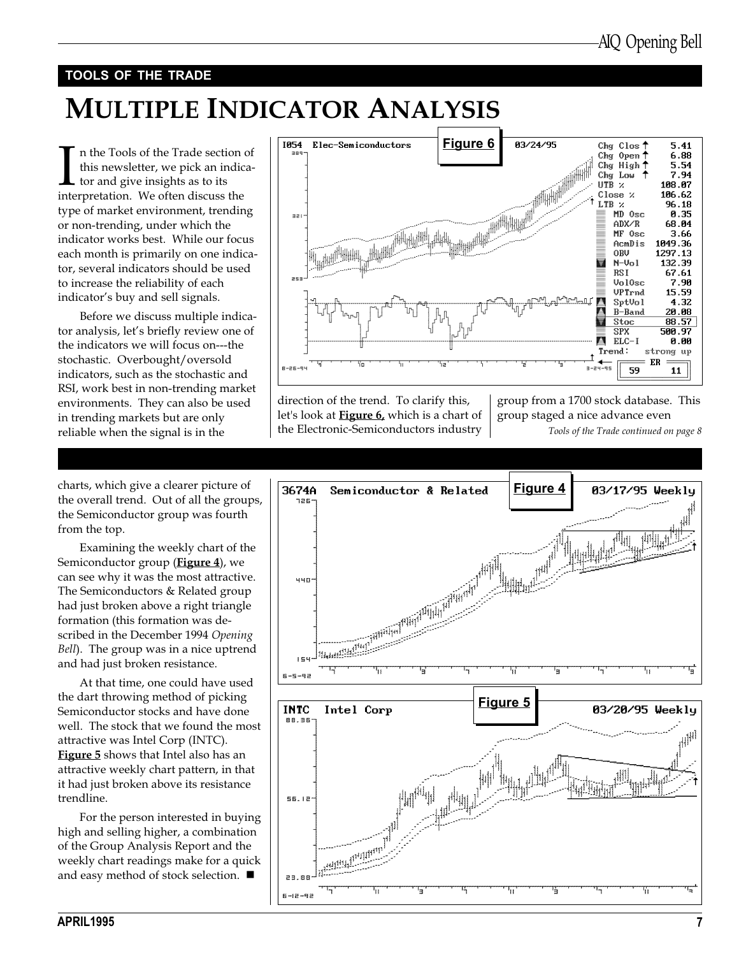### TOOLS OF THE TRADE

### MULTIPLE INDICATOR ANALYSIS

In the Tools of the Trade section<br>this newsletter, we pick an indic<br>tor and give insights as to its<br>interpretation. We often discuss the n the Tools of the Trade section of this newsletter, we pick an indicator and give insights as to its type of market environment, trending or non-trending, under which the indicator works best. While our focus each month is primarily on one indicator, several indicators should be used to increase the reliability of each indicator's buy and sell signals.

Before we discuss multiple indicator analysis, let's briefly review one of the indicators we will focus on---the stochastic. Overbought/oversold indicators, such as the stochastic and RSI, work best in non-trending market environments. They can also be used in trending markets but are only reliable when the signal is in the

Figure 6 1054 Elec-Semiconductors 03/24/95 Chg Clos' 5.41  $6.88$ Chg Open  $\dagger$ Chg High<sup>1</sup> 5.54 7.94 Chg Low UTB x 108.07 106.62 Close % 96.18  $\begin{picture}(100,100) \put(0,0){\line(1,0){10}} \put(10,0){\line(1,0){10}} \put(10,0){\line(1,0){10}} \put(10,0){\line(1,0){10}} \put(10,0){\line(1,0){10}} \put(10,0){\line(1,0){10}} \put(10,0){\line(1,0){10}} \put(10,0){\line(1,0){10}} \put(10,0){\line(1,0){10}} \put(10,0){\line(1,0){10}} \put(10,0){\line(1,0){10}} \put(10,0){\line$ LTB %  $MD$   $0sc$ 0.35 aal  $ADX/R$ 68.84  $MF$  Osc 3.66  $AcmDis$ 1049.36 **OBU** 1297.13 H  $N-U<sub>0</sub>$ ] 132.39 **RSI** 67.61 Vol0sc  $7.90$ 15.59 UPTrnd  $SptVol$ 4.32 B-Band 20.08 Stoc 88.57 SPX 500.97  $ELC-I$ 0.00 Trend: strong up ER 59  $11$ 

direction of the trend. To clarify this, let's look at **Figure 6**, which is a chart of the Electronic-Semiconductors industry group from a 1700 stock database. This group staged a nice advance even

Tools of the Trade continued on page 8





charts, which give a clearer picture of the overall trend. Out of all the groups, the Semiconductor group was fourth from the top.

Examining the weekly chart of the Semiconductor group (Figure 4), we can see why it was the most attractive. The Semiconductors & Related group had just broken above a right triangle formation (this formation was described in the December 1994 Opening Bell). The group was in a nice uptrend and had just broken resistance.

At that time, one could have used the dart throwing method of picking Semiconductor stocks and have done well. The stock that we found the most attractive was Intel Corp (INTC). Figure 5 shows that Intel also has an attractive weekly chart pattern, in that it had just broken above its resistance trendline.

For the person interested in buying high and selling higher, a combination of the Group Analysis Report and the weekly chart readings make for a quick and easy method of stock selection.  $\blacksquare$